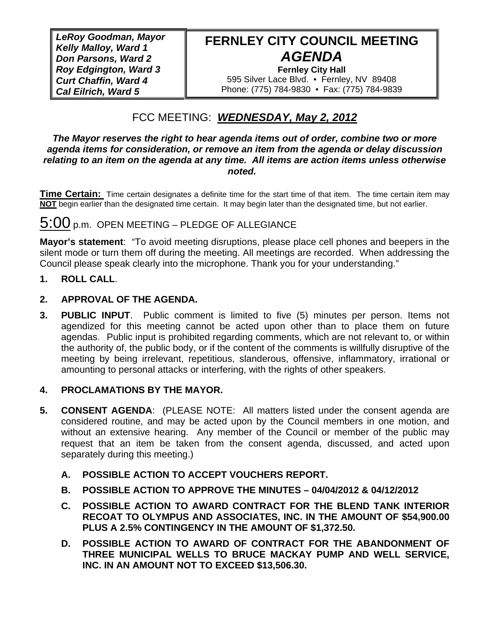*LeRoy Goodman, Mayor Kelly Malloy, Ward 1 Don Parsons, Ward 2 Roy Edgington, Ward 3 Curt Chaffin, Ward 4 Cal Eilrich, Ward 5* 

# **FERNLEY CITY COUNCIL MEETING**  *AGENDA*

**Fernley City Hall**  595 Silver Lace Blvd. • Fernley, NV 89408 Phone: (775) 784-9830 • Fax: (775) 784-9839

# FCC MEETING: *WEDNESDAY, May 2, 2012*

#### *The Mayor reserves the right to hear agenda items out of order, combine two or more agenda items for consideration, or remove an item from the agenda or delay discussion relating to an item on the agenda at any time. All items are action items unless otherwise noted.*

**Time Certain:** Time certain designates a definite time for the start time of that item. The time certain item may **NOT** begin earlier than the designated time certain. It may begin later than the designated time, but not earlier.

# 5:00 p.m. OPEN MEETING – PLEDGE OF ALLEGIANCE

**Mayor's statement**: "To avoid meeting disruptions, please place cell phones and beepers in the silent mode or turn them off during the meeting. All meetings are recorded. When addressing the Council please speak clearly into the microphone. Thank you for your understanding."

# **1. ROLL CALL**.

# **2. APPROVAL OF THE AGENDA.**

**3. PUBLIC INPUT**. Public comment is limited to five (5) minutes per person. Items not agendized for this meeting cannot be acted upon other than to place them on future agendas. Public input is prohibited regarding comments, which are not relevant to, or within the authority of, the public body, or if the content of the comments is willfully disruptive of the meeting by being irrelevant, repetitious, slanderous, offensive, inflammatory, irrational or amounting to personal attacks or interfering, with the rights of other speakers.

# **4. PROCLAMATIONS BY THE MAYOR.**

- **5. CONSENT AGENDA**: (PLEASE NOTE: All matters listed under the consent agenda are considered routine, and may be acted upon by the Council members in one motion, and without an extensive hearing. Any member of the Council or member of the public may request that an item be taken from the consent agenda, discussed, and acted upon separately during this meeting.)
	- **A. POSSIBLE ACTION TO ACCEPT VOUCHERS REPORT.**
	- **B. POSSIBLE ACTION TO APPROVE THE MINUTES 04/04/2012 & 04/12/2012**
	- **C. POSSIBLE ACTION TO AWARD CONTRACT FOR THE BLEND TANK INTERIOR RECOAT TO OLYMPUS AND ASSOCIATES, INC. IN THE AMOUNT OF \$54,900.00 PLUS A 2.5% CONTINGENCY IN THE AMOUNT OF \$1,372.50.**
	- **D. POSSIBLE ACTION TO AWARD OF CONTRACT FOR THE ABANDONMENT OF THREE MUNICIPAL WELLS TO BRUCE MACKAY PUMP AND WELL SERVICE, INC. IN AN AMOUNT NOT TO EXCEED \$13,506.30.**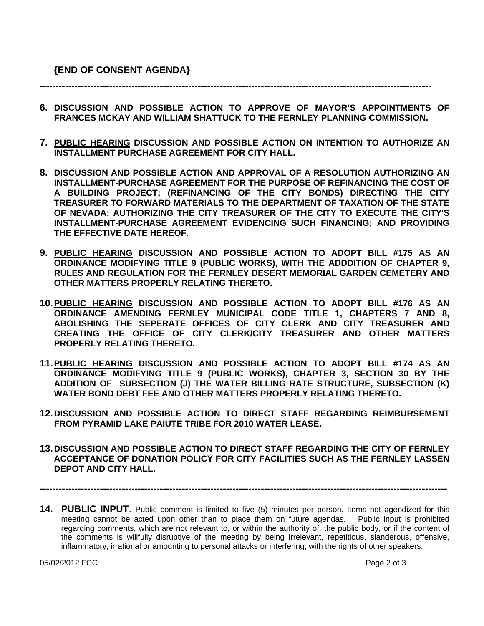**----------------------------------------------------------------------------------------------------------------------------** 

- **6. DISCUSSION AND POSSIBLE ACTION TO APPROVE OF MAYOR'S APPOINTMENTS OF FRANCES MCKAY AND WILLIAM SHATTUCK TO THE FERNLEY PLANNING COMMISSION.**
- **7. PUBLIC HEARING DISCUSSION AND POSSIBLE ACTION ON INTENTION TO AUTHORIZE AN INSTALLMENT PURCHASE AGREEMENT FOR CITY HALL.**
- **8. DISCUSSION AND POSSIBLE ACTION AND APPROVAL OF A RESOLUTION AUTHORIZING AN INSTALLMENT-PURCHASE AGREEMENT FOR THE PURPOSE OF REFINANCING THE COST OF A BUILDING PROJECT; (REFINANCING OF THE CITY BONDS) DIRECTING THE CITY TREASURER TO FORWARD MATERIALS TO THE DEPARTMENT OF TAXATION OF THE STATE OF NEVADA; AUTHORIZING THE CITY TREASURER OF THE CITY TO EXECUTE THE CITY'S INSTALLMENT-PURCHASE AGREEMENT EVIDENCING SUCH FINANCING; AND PROVIDING THE EFFECTIVE DATE HEREOF.**
- **9. PUBLIC HEARING DISCUSSION AND POSSIBLE ACTION TO ADOPT BILL #175 AS AN ORDINANCE MODIFYING TITLE 9 (PUBLIC WORKS), WITH THE ADDDITION OF CHAPTER 9, RULES AND REGULATION FOR THE FERNLEY DESERT MEMORIAL GARDEN CEMETERY AND OTHER MATTERS PROPERLY RELATING THERETO.**
- **10. PUBLIC HEARING DISCUSSION AND POSSIBLE ACTION TO ADOPT BILL #176 AS AN ORDINANCE AMENDING FERNLEY MUNICIPAL CODE TITLE 1, CHAPTERS 7 AND 8, ABOLISHING THE SEPERATE OFFICES OF CITY CLERK AND CITY TREASURER AND CREATING THE OFFICE OF CITY CLERK/CITY TREASURER AND OTHER MATTERS PROPERLY RELATING THERETO.**
- **11. PUBLIC HEARING DISCUSSION AND POSSIBLE ACTION TO ADOPT BILL #174 AS AN ORDINANCE MODIFYING TITLE 9 (PUBLIC WORKS), CHAPTER 3, SECTION 30 BY THE ADDITION OF SUBSECTION (J) THE WATER BILLING RATE STRUCTURE, SUBSECTION (K) WATER BOND DEBT FEE AND OTHER MATTERS PROPERLY RELATING THERETO.**
- **12. DISCUSSION AND POSSIBLE ACTION TO DIRECT STAFF REGARDING REIMBURSEMENT FROM PYRAMID LAKE PAIUTE TRIBE FOR 2010 WATER LEASE.**
- **13. DISCUSSION AND POSSIBLE ACTION TO DIRECT STAFF REGARDING THE CITY OF FERNLEY ACCEPTANCE OF DONATION POLICY FOR CITY FACILITIES SUCH AS THE FERNLEY LASSEN DEPOT AND CITY HALL.**

**---------------------------------------------------------------------------------------------------------------------------------** 

**14. PUBLIC INPUT**. Public comment is limited to five (5) minutes per person. Items not agendized for this meeting cannot be acted upon other than to place them on future agendas. Public input is prohibited regarding comments, which are not relevant to, or within the authority of, the public body, or if the content of the comments is willfully disruptive of the meeting by being irrelevant, repetitious, slanderous, offensive, inflammatory, irrational or amounting to personal attacks or interfering, with the rights of other speakers.

05/02/2012 FCC Page 2 of 3